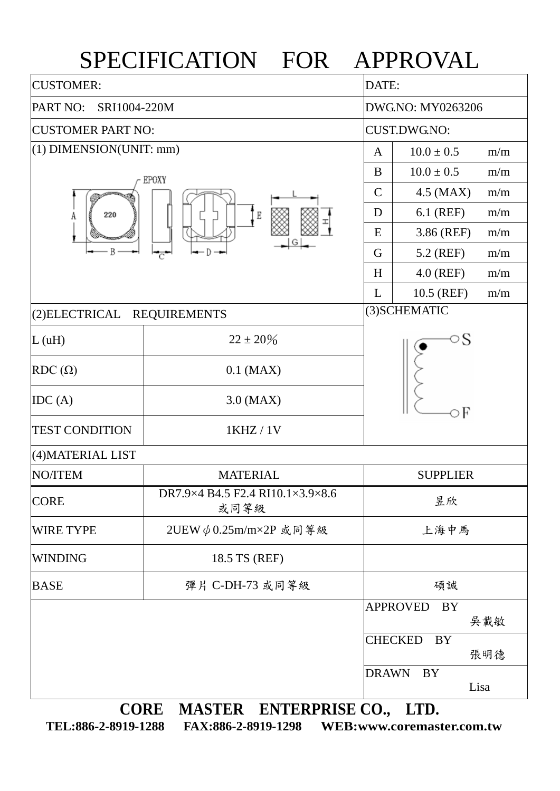## SPECIFICATION FOR APPROVAL

| <b>CUSTOMER:</b>            |                                          |                   | DATE:                        |  |  |  |
|-----------------------------|------------------------------------------|-------------------|------------------------------|--|--|--|
| PART NO:<br>SRI1004-220M    |                                          | DWG.NO: MY0263206 |                              |  |  |  |
| <b>CUSTOMER PART NO:</b>    |                                          |                   | <b>CUST.DWG.NO:</b>          |  |  |  |
| $(1)$ DIMENSION(UNIT: mm)   |                                          |                   | $10.0 \pm 0.5$<br>m/m        |  |  |  |
|                             | EPOXY                                    | B                 | $10.0 \pm 0.5$<br>m/m        |  |  |  |
|                             |                                          |                   | $4.5$ (MAX)<br>m/m           |  |  |  |
| 220<br>A                    | $\mathbb E$                              | D                 | 6.1 (REF)<br>m/m             |  |  |  |
| Β                           |                                          |                   | 3.86 (REF)<br>m/m            |  |  |  |
|                             |                                          |                   | 5.2 (REF)<br>m/m             |  |  |  |
|                             |                                          | H                 | $4.0$ (REF)<br>m/m           |  |  |  |
|                             |                                          | L                 | 10.5 (REF)<br>m/m            |  |  |  |
| (2) ELECTRICAL REQUIREMENTS |                                          | (3) SCHEMATIC     |                              |  |  |  |
| L(uH)                       | $22 \pm 20\%$                            |                   | ⊃S                           |  |  |  |
| $RDC(\Omega)$               | $0.1$ (MAX)                              |                   | оF                           |  |  |  |
| IDC(A)                      | $3.0$ (MAX)                              |                   |                              |  |  |  |
| <b>TEST CONDITION</b>       | 1KHZ / 1V                                |                   |                              |  |  |  |
| (4) MATERIAL LIST           |                                          |                   |                              |  |  |  |
| <b>NO/ITEM</b>              | <b>MATERIAL</b>                          | <b>SUPPLIER</b>   |                              |  |  |  |
| <b>CORE</b>                 | DR7.9×4 B4.5 F2.4 RI10.1×3.9×8.6<br>或同等級 |                   | 昱欣                           |  |  |  |
| WIRE TYPE                   | 2UEW $\phi$ 0.25m/m×2P 或同等級              |                   | 上海中馬                         |  |  |  |
| <b>WINDING</b>              | 18.5 TS (REF)                            |                   |                              |  |  |  |
| <b>BASE</b>                 | 彈片 C-DH-73 或同等級                          | 碩誠                |                              |  |  |  |
|                             |                                          |                   | <b>APPROVED</b><br>BY<br>吳載敏 |  |  |  |
|                             |                                          |                   | <b>CHECKED</b><br>BY<br>張明德  |  |  |  |
|                             |                                          | <b>DRAWN</b>      | BY<br>Lisa                   |  |  |  |
| <b>CORE</b>                 | MASTER ENTERPRISE CO.,                   |                   | LTD.                         |  |  |  |

**TEL:886-2-8919-1288 FAX:886-2-8919-1298 WEB:www.coremaster.com.tw**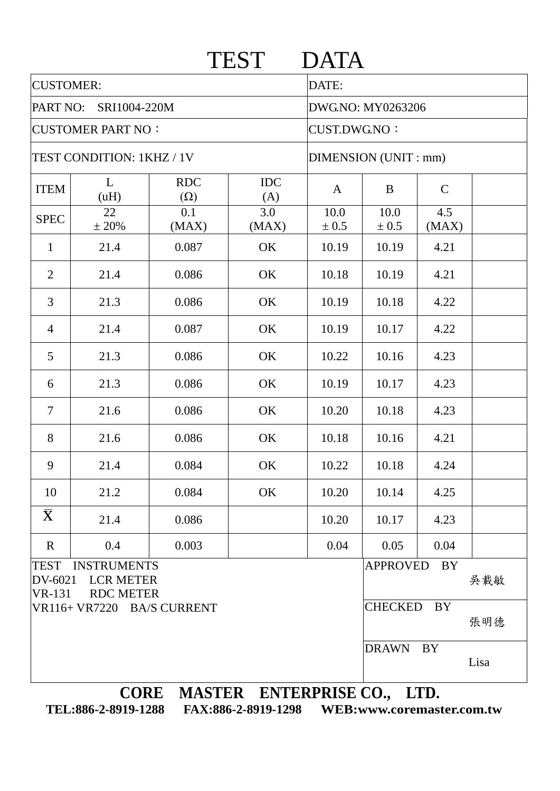|                                         |                                                            |                          | <b>TEST</b>       | <b>DATA</b>          |                                    |              |      |  |  |
|-----------------------------------------|------------------------------------------------------------|--------------------------|-------------------|----------------------|------------------------------------|--------------|------|--|--|
| <b>CUSTOMER:</b>                        |                                                            |                          |                   | DATE:                |                                    |              |      |  |  |
| PART NO:<br>SRI1004-220M                |                                                            |                          | DWG.NO: MY0263206 |                      |                                    |              |      |  |  |
| <b>CUSTOMER PART NO:</b>                |                                                            |                          |                   | <b>CUST.DWG.NO:</b>  |                                    |              |      |  |  |
| TEST CONDITION: 1KHZ / 1V               |                                                            |                          |                   | DIMENSION (UNIT: mm) |                                    |              |      |  |  |
| <b>ITEM</b>                             | L<br>(uH)                                                  | <b>RDC</b><br>$(\Omega)$ | <b>IDC</b><br>(A) | A                    | B                                  | $\mathsf{C}$ |      |  |  |
| <b>SPEC</b>                             | 22<br>± 20%                                                | 0.1<br>(MAX)             | 3.0<br>(MAX)      | 10.0<br>± 0.5        | 10.0<br>± 0.5                      | 4.5<br>(MAX) |      |  |  |
| $\mathbf{1}$                            | 21.4                                                       | 0.087                    | OK                | 10.19                | 10.19                              | 4.21         |      |  |  |
| $\overline{2}$                          | 21.4                                                       | 0.086                    | OK                | 10.18                | 10.19                              | 4.21         |      |  |  |
| 3                                       | 21.3                                                       | 0.086                    | OK                | 10.19                | 10.18                              | 4.22         |      |  |  |
| $\overline{4}$                          | 21.4                                                       | 0.087                    | OK                | 10.19                | 10.17                              | 4.22         |      |  |  |
| 5                                       | 21.3                                                       | 0.086                    | OK                | 10.22                | 10.16                              | 4.23         |      |  |  |
| 6                                       | 21.3                                                       | 0.086                    | OK                | 10.19                | 10.17                              | 4.23         |      |  |  |
| $\overline{7}$                          | 21.6                                                       | 0.086                    | OK                | 10.20                | 10.18                              | 4.23         |      |  |  |
| 8                                       | 21.6                                                       | 0.086                    | OK                | 10.18                | 10.16                              | 4.21         |      |  |  |
| 9                                       | 21.4                                                       | 0.084                    | OK                | 10.22                | 10.18                              | 4.24         |      |  |  |
| 10                                      | 21.2                                                       | 0.084                    | OK                | 10.20                | 10.14                              | 4.25         |      |  |  |
| $\bar{\mathbf{X}}$                      | 21.4                                                       | 0.086                    |                   | 10.20                | 10.17                              | 4.23         |      |  |  |
| $\mathbf R$                             | 0.4                                                        | 0.003                    |                   | 0.04                 | 0.05                               | 0.04         |      |  |  |
| <b>TEST</b><br>DV-6021<br><b>VR-131</b> | <b>INSTRUMENTS</b><br><b>LCR METER</b><br><b>RDC METER</b> |                          |                   |                      | <b>APPROVED</b>                    | <b>BY</b>    | 吳載敏  |  |  |
| VR116+ VR7220 BA/S CURRENT              |                                                            |                          |                   |                      | <b>CHECKED</b><br><b>BY</b><br>張明德 |              |      |  |  |
|                                         |                                                            |                          |                   |                      | <b>DRAWN</b>                       | <b>BY</b>    | Lisa |  |  |

**TEL:886-2-8919-1288 FAX:886-2-8919-1298 WEB:www.coremaster.com.tw**